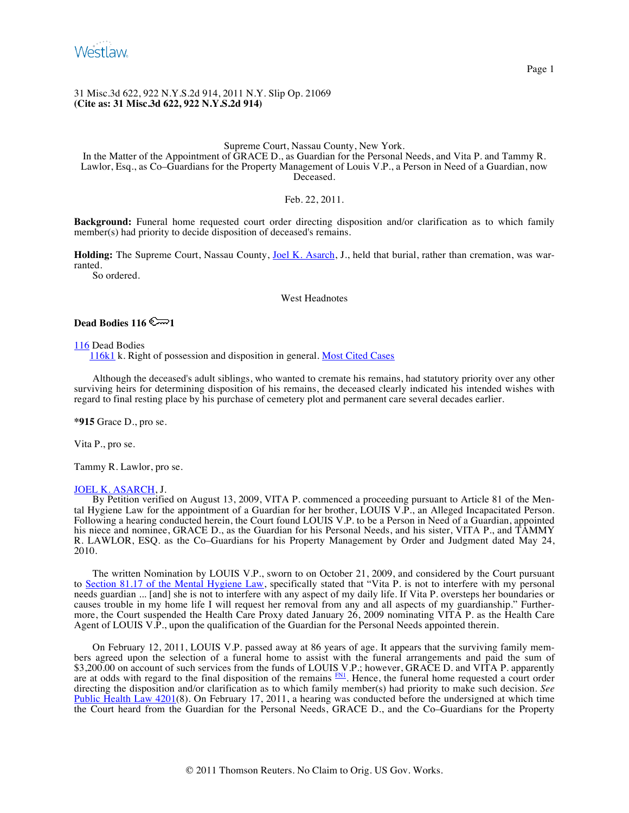### 31 Misc.3d 622, 922 N.Y.S.2d 914, 2011 N.Y. Slip Op. 21069 **(Cite as: 31 Misc.3d 622, 922 N.Y.S.2d 914)**

## Supreme Court, Nassau County, New York.

In the Matter of the Appointment of GRACE D., as Guardian for the Personal Needs, and Vita P. and Tammy R. Lawlor, Esq., as Co–Guardians for the Property Management of Louis V.P., a Person in Need of a Guardian, now Deceased.

Feb. 22, 2011.

**Background:** Funeral home requested court order directing disposition and/or clarification as to which family member(s) had priority to decide disposition of deceased's remains.

**Holding:** The Supreme Court, Nassau County, Joel K. Asarch, J., held that burial, rather than cremation, was warranted.

So ordered.

West Headnotes

# Dead Bodies  $116$ <sup> $\textcircled{2001}$ </sup>

116 Dead Bodies

116k1 k. Right of possession and disposition in general. Most Cited Cases

Although the deceased's adult siblings, who wanted to cremate his remains, had statutory priority over any other surviving heirs for determining disposition of his remains, the deceased clearly indicated his intended wishes with regard to final resting place by his purchase of cemetery plot and permanent care several decades earlier.

**\*915** Grace D., pro se.

Vita P., pro se.

Tammy R. Lawlor, pro se.

#### JOEL K. ASARCH, J.

By Petition verified on August 13, 2009, VITA P. commenced a proceeding pursuant to Article 81 of the Mental Hygiene Law for the appointment of a Guardian for her brother, LOUIS V.P., an Alleged Incapacitated Person. Following a hearing conducted herein, the Court found LOUIS V.P. to be a Person in Need of a Guardian, appointed his niece and nominee, GRACE D., as the Guardian for his Personal Needs, and his sister, VITA P., and TAMMY R. LAWLOR, ESQ. as the Co–Guardians for his Property Management by Order and Judgment dated May 24, 2010.

The written Nomination by LOUIS V.P., sworn to on October 21, 2009, and considered by the Court pursuant to Section 81.17 of the Mental Hygiene Law, specifically stated that "Vita P. is not to interfere with my personal needs guardian ... [and] she is not to interfere with any aspect of my daily life. If Vita P. oversteps her boundaries or causes trouble in my home life I will request her removal from any and all aspects of my guardianship." Furthermore, the Court suspended the Health Care Proxy dated January 26, 2009 nominating VITA P. as the Health Care Agent of LOUIS V.P., upon the qualification of the Guardian for the Personal Needs appointed therein.

On February 12, 2011, LOUIS V.P. passed away at 86 years of age. It appears that the surviving family members agreed upon the selection of a funeral home to assist with the funeral arrangements and paid the sum of \$3,200.00 on account of such services from the funds of LOUIS V.P.; however, GRACE D. and VITA P. apparently are at odds with regard to the final disposition of the remains  $EM$ . Hence, the funeral home requested a court order directing the disposition and/or clarification as to which family member(s) had priority to make such decision. *See* Public Health Law 4201(8). On February 17, 2011, a hearing was conducted before the undersigned at which time the Court heard from the Guardian for the Personal Needs, GRACE D., and the Co–Guardians for the Property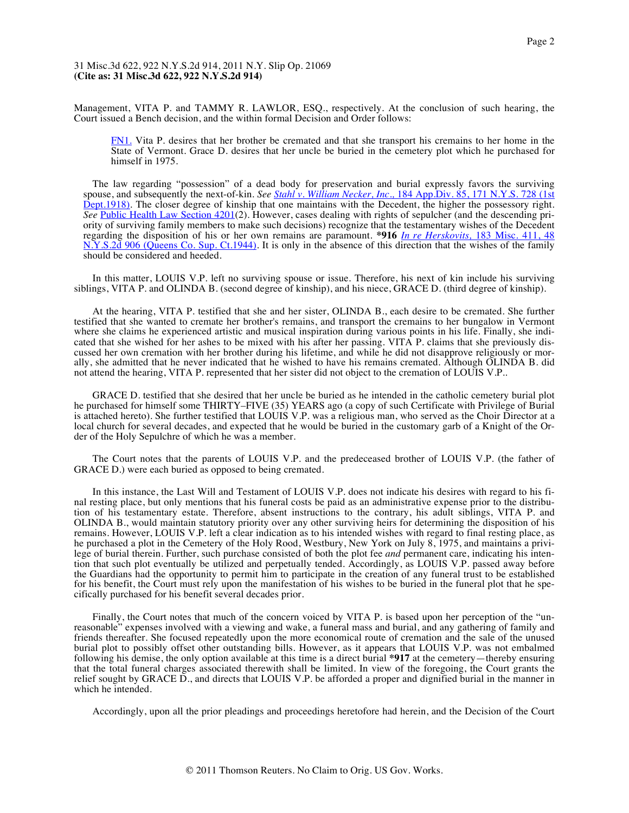### 31 Misc.3d 622, 922 N.Y.S.2d 914, 2011 N.Y. Slip Op. 21069 **(Cite as: 31 Misc.3d 622, 922 N.Y.S.2d 914)**

Management, VITA P. and TAMMY R. LAWLOR, ESQ., respectively. At the conclusion of such hearing, the Court issued a Bench decision, and the within formal Decision and Order follows:

FN1. Vita P. desires that her brother be cremated and that she transport his cremains to her home in the State of Vermont. Grace D. desires that her uncle be buried in the cemetery plot which he purchased for himself in 1975.

The law regarding "possession" of a dead body for preservation and burial expressly favors the surviving spouse, and subsequently the next-of-kin. *See Stahl v. William Necker, Inc.,* 184 App.Div. 85, 171 N.Y.S. 728 (1st Dept. 1918). The closer degree of kinship that one maintains with the Decedent, the higher the possessory right. *See* Public Health Law Section 4201(2). However, cases dealing with rights of sepulcher (and the descending priority of surviving family members to make such decisions) recognize that the testamentary wishes of the Decedent regarding the disposition of his or her own remains are paramount. **\*916** *In re Herskovits,* 183 Misc. 411, 48 N.Y.S.2d 906 (Queens Co. Sup. Ct.1944). It is only in the absence of this direction that the wishes of the family should be considered and heeded.

In this matter, LOUIS V.P. left no surviving spouse or issue. Therefore, his next of kin include his surviving siblings, VITA P. and OLINDA B. (second degree of kinship), and his niece, GRACE D. (third degree of kinship).

At the hearing, VITA P. testified that she and her sister, OLINDA B., each desire to be cremated. She further testified that she wanted to cremate her brother's remains, and transport the cremains to her bungalow in Vermont where she claims he experienced artistic and musical inspiration during various points in his life. Finally, she indicated that she wished for her ashes to be mixed with his after her passing. VITA P. claims that she previously discussed her own cremation with her brother during his lifetime, and while he did not disapprove religiously or morally, she admitted that he never indicated that he wished to have his remains cremated. Although OLINDA B. did not attend the hearing, VITA P. represented that her sister did not object to the cremation of LOUIS V.P..

GRACE D. testified that she desired that her uncle be buried as he intended in the catholic cemetery burial plot he purchased for himself some THIRTY–FIVE (35) YEARS ago (a copy of such Certificate with Privilege of Burial is attached hereto). She further testified that LOUIS V.P. was a religious man, who served as the Choir Director at a local church for several decades, and expected that he would be buried in the customary garb of a Knight of the Order of the Holy Sepulchre of which he was a member.

The Court notes that the parents of LOUIS V.P. and the predeceased brother of LOUIS V.P. (the father of GRACE D.) were each buried as opposed to being cremated.

In this instance, the Last Will and Testament of LOUIS V.P. does not indicate his desires with regard to his final resting place, but only mentions that his funeral costs be paid as an administrative expense prior to the distribution of his testamentary estate. Therefore, absent instructions to the contrary, his adult siblings, VITA P. and OLINDA B., would maintain statutory priority over any other surviving heirs for determining the disposition of his remains. However, LOUIS V.P. left a clear indication as to his intended wishes with regard to final resting place, as he purchased a plot in the Cemetery of the Holy Rood, Westbury, New York on July 8, 1975, and maintains a privilege of burial therein. Further, such purchase consisted of both the plot fee *and* permanent care, indicating his intention that such plot eventually be utilized and perpetually tended. Accordingly, as LOUIS V.P. passed away before the Guardians had the opportunity to permit him to participate in the creation of any funeral trust to be established for his benefit, the Court must rely upon the manifestation of his wishes to be buried in the funeral plot that he specifically purchased for his benefit several decades prior.

Finally, the Court notes that much of the concern voiced by VITA P. is based upon her perception of the "unreasonable" expenses involved with a viewing and wake, a funeral mass and burial, and any gathering of family and friends thereafter. She focused repeatedly upon the more economical route of cremation and the sale of the unused burial plot to possibly offset other outstanding bills. However, as it appears that LOUIS V.P. was not embalmed following his demise, the only option available at this time is a direct burial **\*917** at the cemetery—thereby ensuring that the total funeral charges associated therewith shall be limited. In view of the foregoing, the Court grants the relief sought by GRACE D., and directs that LOUIS V.P. be afforded a proper and dignified burial in the manner in which he intended.

Accordingly, upon all the prior pleadings and proceedings heretofore had herein, and the Decision of the Court